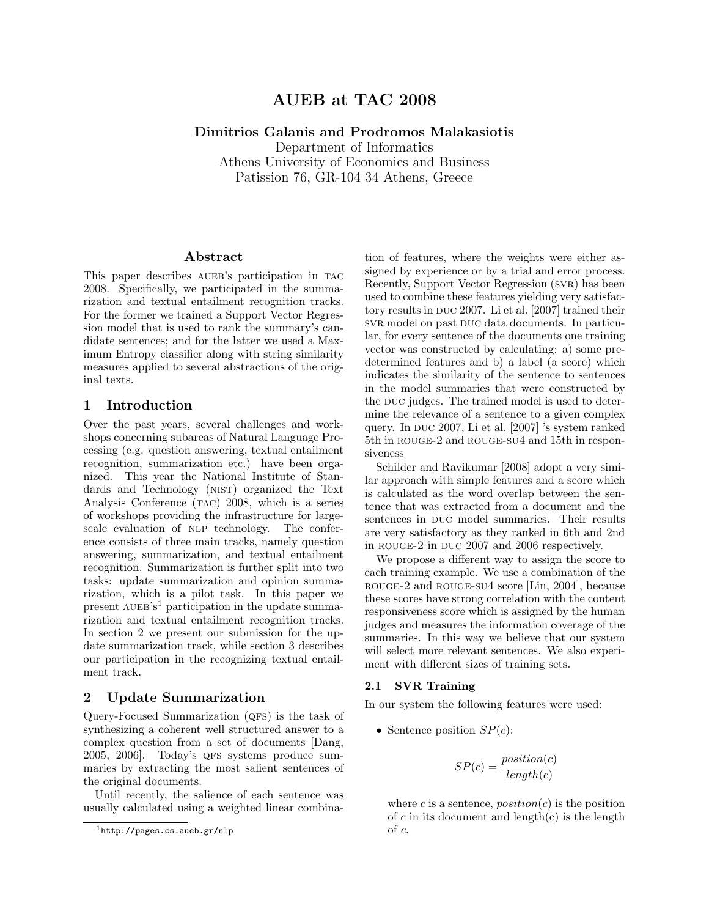# AUEB at TAC 2008

## Dimitrios Galanis and Prodromos Malakasiotis

Department of Informatics

Athens University of Economics and Business Patission 76, GR-104 34 Athens, Greece

### Abstract

This paper describes AUEB's participation in TAC 2008. Specifically, we participated in the summarization and textual entailment recognition tracks. For the former we trained a Support Vector Regression model that is used to rank the summary's candidate sentences; and for the latter we used a Maximum Entropy classifier along with string similarity measures applied to several abstractions of the original texts.

### 1 Introduction

Over the past years, several challenges and workshops concerning subareas of Natural Language Processing (e.g. question answering, textual entailment recognition, summarization etc.) have been organized. This year the National Institute of Standards and Technology (nist) organized the Text Analysis Conference (tac) 2008, which is a series of workshops providing the infrastructure for largescale evaluation of NLP technology. The conference consists of three main tracks, namely question answering, summarization, and textual entailment recognition. Summarization is further split into two tasks: update summarization and opinion summarization, which is a pilot task. In this paper we present  $AUEB's<sup>1</sup>$  participation in the update summarization and textual entailment recognition tracks. In section 2 we present our submission for the update summarization track, while section 3 describes our participation in the recognizing textual entailment track.

### 2 Update Summarization

Query-Focused Summarization (qfs) is the task of synthesizing a coherent well structured answer to a complex question from a set of documents [Dang, 2005, 2006. Today's QFS systems produce summaries by extracting the most salient sentences of the original documents.

Until recently, the salience of each sentence was usually calculated using a weighted linear combination of features, where the weights were either assigned by experience or by a trial and error process. Recently, Support Vector Regression (svr) has been used to combine these features yielding very satisfactory results in DUC 2007. Li et al. [2007] trained their svR model on past DUC data documents. In particular, for every sentence of the documents one training vector was constructed by calculating: a) some predetermined features and b) a label (a score) which indicates the similarity of the sentence to sentences in the model summaries that were constructed by the DUC judges. The trained model is used to determine the relevance of a sentence to a given complex query. In duc 2007, Li et al. [2007] 's system ranked 5th in rouge-2 and rouge-su4 and 15th in responsiveness

Schilder and Ravikumar [2008] adopt a very similar approach with simple features and a score which is calculated as the word overlap between the sentence that was extracted from a document and the sentences in DUC model summaries. Their results are very satisfactory as they ranked in 6th and 2nd in ROUGE-2 in DUC 2007 and 2006 respectively.

We propose a different way to assign the score to each training example. We use a combination of the rouge-2 and rouge-su4 score [Lin, 2004], because these scores have strong correlation with the content responsiveness score which is assigned by the human judges and measures the information coverage of the summaries. In this way we believe that our system will select more relevant sentences. We also experiment with different sizes of training sets.

### 2.1 SVR Training

In our system the following features were used:

• Sentence position  $SP(c)$ :

$$
SP(c) = \frac{position(c)}{length(c)}
$$

where c is a sentence,  $position(c)$  is the position of c in its document and length $(c)$  is the length of c.

 $1$ http://pages.cs.aueb.gr/nlp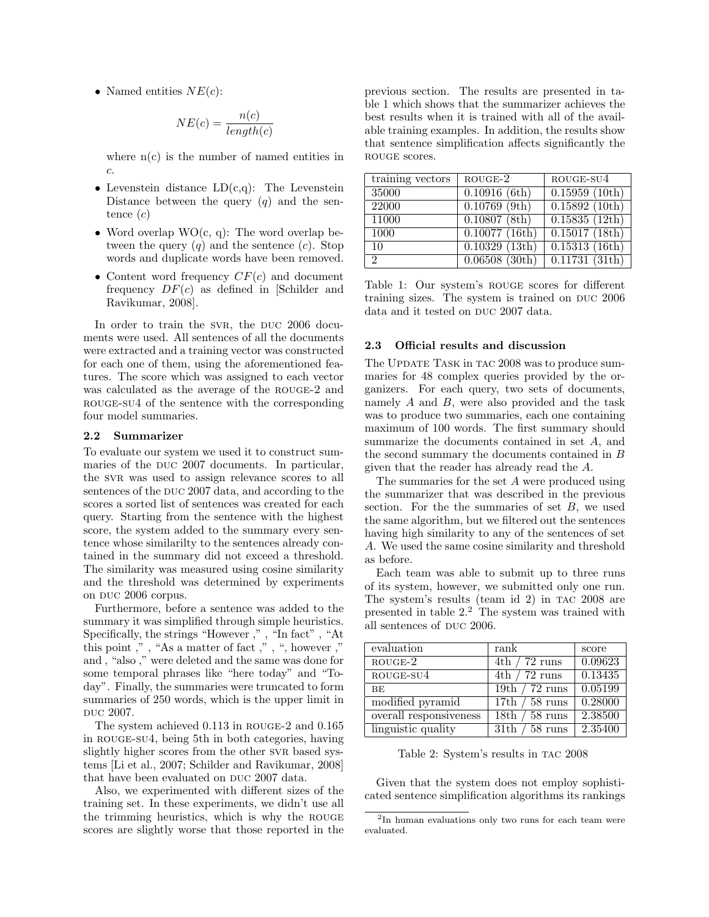• Named entities  $NE(c)$ :

$$
NE(c) = \frac{n(c)}{length(c)}
$$

where  $n(c)$  is the number of named entities in c.

- Levenstein distance  $LD(c,q)$ : The Levenstein Distance between the query  $(q)$  and the sentence  $(c)$
- Word overlap  $WO(c, q)$ : The word overlap between the query  $(q)$  and the sentence  $(c)$ . Stop words and duplicate words have been removed.
- Content word frequency  $CF(c)$  and document frequency  $DF(c)$  as defined in Schilder and Ravikumar, 2008].

In order to train the SVR, the DUC 2006 documents were used. All sentences of all the documents were extracted and a training vector was constructed for each one of them, using the aforementioned features. The score which was assigned to each vector was calculated as the average of the rouge-2 and ROUGE-SU4 of the sentence with the corresponding four model summaries.

#### 2.2 Summarizer

To evaluate our system we used it to construct summaries of the DUC 2007 documents. In particular, the SVR was used to assign relevance scores to all sentences of the DUC 2007 data, and according to the scores a sorted list of sentences was created for each query. Starting from the sentence with the highest score, the system added to the summary every sentence whose similarilty to the sentences already contained in the summary did not exceed a threshold. The similarity was measured using cosine similarity and the threshold was determined by experiments on DUC 2006 corpus.

Furthermore, before a sentence was added to the summary it was simplified through simple heuristics. Specifically, the strings "However ," , "In fact" , "At this point ," , "As a matter of fact ," , ", however ," and , "also ," were deleted and the same was done for some temporal phrases like "here today" and "Today". Finally, the summaries were truncated to form summaries of 250 words, which is the upper limit in DUC 2007.

The system achieved 0.113 in rouge-2 and 0.165 in rouge-su4, being 5th in both categories, having slightly higher scores from the other SVR based systems [Li et al., 2007; Schilder and Ravikumar, 2008] that have been evaluated on DUC 2007 data.

Also, we experimented with different sizes of the training set. In these experiments, we didn't use all the trimming heuristics, which is why the rouge scores are slightly worse that those reported in the

previous section. The results are presented in table 1 which shows that the summarizer achieves the best results when it is trained with all of the available training examples. In addition, the results show that sentence simplification affects significantly the ROUGE scores.

| training vectors | ROUGE-2         | ROUGE-SU4     |
|------------------|-----------------|---------------|
| 35000            | $0.10916$ (6th) | 0.15959(10th) |
| 22000            | $0.10769$ (9th) | 0.15892(10th) |
| 11000            | $0.10807$ (8th) | 0.15835(12th) |
| 1000             | 0.10077(16th)   | 0.15017(18th) |
| 10               | 0.10329(13th)   | 0.15313(16th) |
| 2                | 0.06508(30th)   | 0.11731(31th) |

Table 1: Our system's rouge scores for different training sizes. The system is trained on duc 2006 data and it tested on DUC 2007 data.

#### 2.3 Official results and discussion

The UPDATE TASK in TAC 2008 was to produce summaries for 48 complex queries provided by the organizers. For each query, two sets of documents, namely A and B, were also provided and the task was to produce two summaries, each one containing maximum of 100 words. The first summary should summarize the documents contained in set A, and the second summary the documents contained in B given that the reader has already read the A.

The summaries for the set A were produced using the summarizer that was described in the previous section. For the the summaries of set  $B$ , we used the same algorithm, but we filtered out the sentences having high similarity to any of the sentences of set A. We used the same cosine similarity and threshold as before.

Each team was able to submit up to three runs of its system, however, we submitted only one run. The system's results (team id 2) in tac 2008 are presented in table 2.<sup>2</sup> The system was trained with all sentences of DUC 2006.

| evaluation             | rank                        | score   |
|------------------------|-----------------------------|---------|
| $ROUGE-2$              | $4th / 72$ runs             | 0.09623 |
| ROUGE-SU4              | $4th / 72$ runs             | 0.13435 |
| <b>BE</b>              | 19th $/72$ runs             | 0.05199 |
| modified pyramid       | $17th / 58$ runs            | 0.28000 |
| overall responsiveness | $\overline{18th}$ / 58 runs | 2.38500 |
| linguistic quality     | $31th / 58$ runs            | 2.35400 |

Table 2: System's results in tac 2008

Given that the system does not employ sophisticated sentence simplification algorithms its rankings

<sup>2</sup> In human evaluations only two runs for each team were evaluated.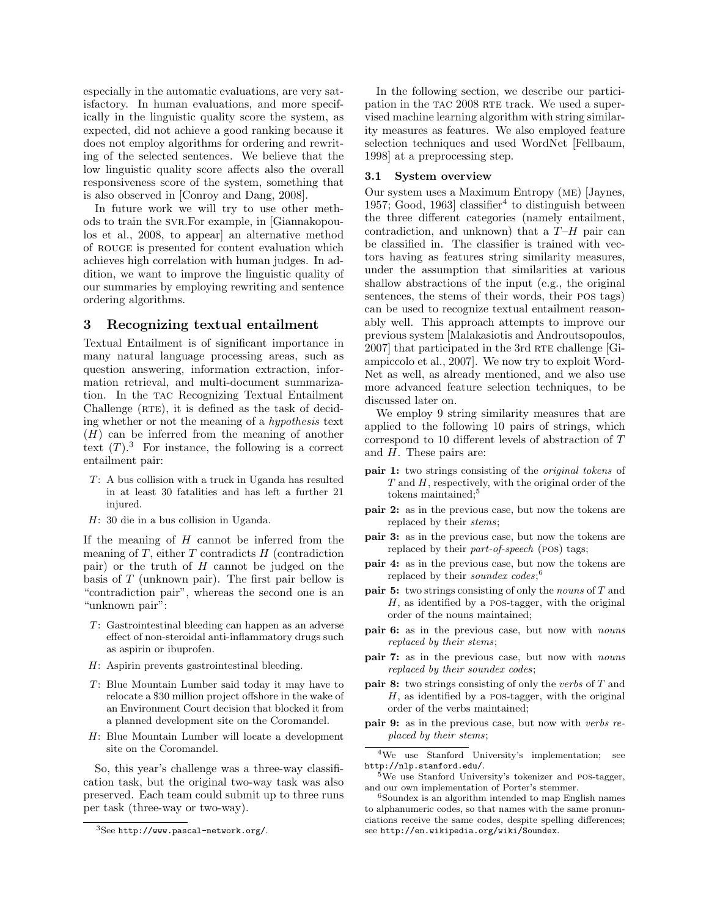especially in the automatic evaluations, are very satisfactory. In human evaluations, and more specifically in the linguistic quality score the system, as expected, did not achieve a good ranking because it does not employ algorithms for ordering and rewriting of the selected sentences. We believe that the low linguistic quality score affects also the overall responsiveness score of the system, something that is also observed in [Conroy and Dang, 2008].

In future work we will try to use other methods to train the svr.For example, in [Giannakopoulos et al., 2008, to appear] an alternative method of rouge is presented for content evaluation which achieves high correlation with human judges. In addition, we want to improve the linguistic quality of our summaries by employing rewriting and sentence ordering algorithms.

### 3 Recognizing textual entailment

Textual Entailment is of significant importance in many natural language processing areas, such as question answering, information extraction, information retrieval, and multi-document summarization. In the tac Recognizing Textual Entailment Challenge (RTE), it is defined as the task of deciding whether or not the meaning of a hypothesis text (H) can be inferred from the meaning of another text  $(T)$ .<sup>3</sup> For instance, the following is a correct entailment pair:

- T: A bus collision with a truck in Uganda has resulted in at least 30 fatalities and has left a further 21 injured.
- H: 30 die in a bus collision in Uganda.

If the meaning of  $H$  cannot be inferred from the meaning of  $T$ , either  $T$  contradicts  $H$  (contradiction pair) or the truth of  $H$  cannot be judged on the basis of  $T$  (unknown pair). The first pair bellow is "contradiction pair", whereas the second one is an "unknown pair":

- T: Gastrointestinal bleeding can happen as an adverse effect of non-steroidal anti-inflammatory drugs such as aspirin or ibuprofen.
- H: Aspirin prevents gastrointestinal bleeding.
- T: Blue Mountain Lumber said today it may have to relocate a \$30 million project offshore in the wake of an Environment Court decision that blocked it from a planned development site on the Coromandel.
- H: Blue Mountain Lumber will locate a development site on the Coromandel.

So, this year's challenge was a three-way classification task, but the original two-way task was also preserved. Each team could submit up to three runs per task (three-way or two-way).

In the following section, we describe our participation in the TAC 2008 RTE track. We used a supervised machine learning algorithm with string similarity measures as features. We also employed feature selection techniques and used WordNet [Fellbaum, 1998] at a preprocessing step.

#### 3.1 System overview

Our system uses a Maximum Entropy (me) [Jaynes, 1957; Good, 1963] classifier<sup>4</sup> to distinguish between the three different categories (namely entailment, contradiction, and unknown) that a  $T-H$  pair can be classified in. The classifier is trained with vectors having as features string similarity measures, under the assumption that similarities at various shallow abstractions of the input (e.g., the original sentences, the stems of their words, their pos tags) can be used to recognize textual entailment reasonably well. This approach attempts to improve our previous system [Malakasiotis and Androutsopoulos,  $2007$  that participated in the 3rd RTE challenge [Giampiccolo et al., 2007]. We now try to exploit Word-Net as well, as already mentioned, and we also use more advanced feature selection techniques, to be discussed later on.

We employ 9 string similarity measures that are applied to the following 10 pairs of strings, which correspond to 10 different levels of abstraction of T and H. These pairs are:

- pair 1: two strings consisting of the original tokens of  $T$  and  $H$ , respectively, with the original order of the tokens maintained;<sup>5</sup>
- pair 2: as in the previous case, but now the tokens are replaced by their stems;
- pair 3: as in the previous case, but now the tokens are replaced by their *part-of-speech* (POS) tags;
- pair 4: as in the previous case, but now the tokens are replaced by their *soundex codes*;<sup>6</sup>
- **pair 5:** two strings consisting of only the nouns of  $T$  and  $H$ , as identified by a POS-tagger, with the original order of the nouns maintained;
- pair 6: as in the previous case, but now with nouns replaced by their stems;
- pair 7: as in the previous case, but now with nouns replaced by their soundex codes;
- pair 8: two strings consisting of only the verbs of T and  $H$ , as identified by a pos-tagger, with the original order of the verbs maintained;
- pair 9: as in the previous case, but now with verbs replaced by their stems;

<sup>4</sup>We use Stanford University's implementation; see http://nlp.stanford.edu/.

 ${}^{3}$ See http://www.pascal-network.org/.

 $5$ We use Stanford University's tokenizer and pos-tagger, and our own implementation of Porter's stemmer.

<sup>6</sup>Soundex is an algorithm intended to map English names to alphanumeric codes, so that names with the same pronunciations receive the same codes, despite spelling differences; see http://en.wikipedia.org/wiki/Soundex.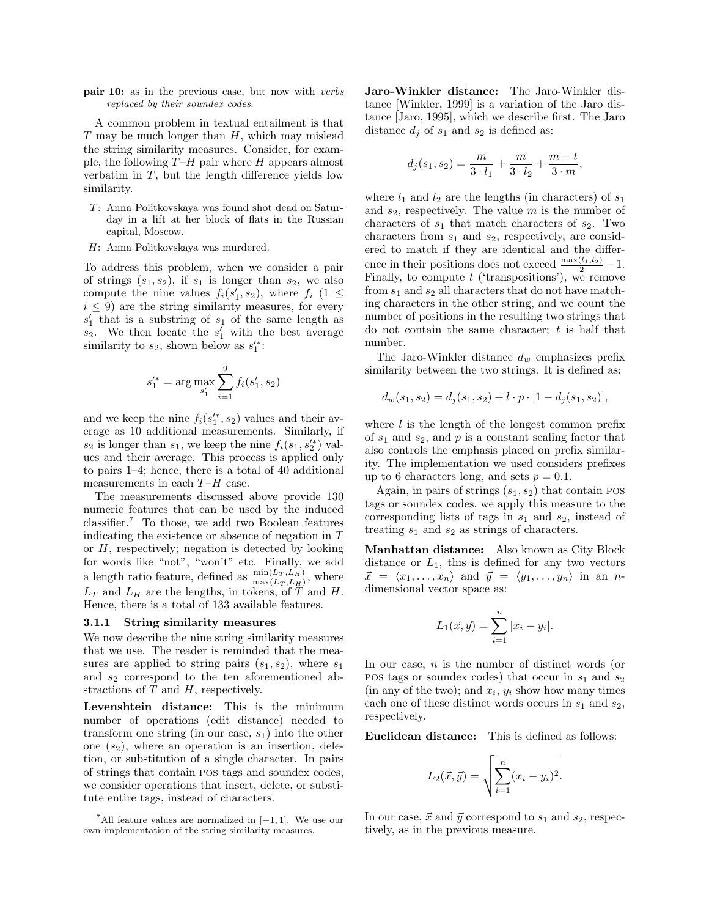pair 10: as in the previous case, but now with verbs replaced by their soundex codes.

A common problem in textual entailment is that  $T$  may be much longer than  $H$ , which may mislead the string similarity measures. Consider, for example, the following  $T-H$  pair where H appears almost verbatim in  $T$ , but the length difference yields low similarity.

- T: Anna Politkovskaya was found shot dead on Saturday in a lift at her block of flats in the Russian capital, Moscow.
- H: Anna Politkovskaya was murdered.

To address this problem, when we consider a pair of strings  $(s_1, s_2)$ , if  $s_1$  is longer than  $s_2$ , we also compute the nine values  $f_i(s'_1, s_2)$ , where  $f_i$  (1  $\leq$  $i \leq 9$ ) are the string similarity measures, for every  $s'_1$  that is a substring of  $s_1$  of the same length as  $s_2$ . We then locate the  $s'_1$  with the best average similarity to  $s_2$ , shown below as  $s_1'^*$ :

$$
s_1'^* = \arg\max_{s_1'} \sum_{i=1}^9 f_i(s_1', s_2)
$$

and we keep the nine  $f_i(s_1^{\prime *}, s_2)$  values and their average as 10 additional measurements. Similarly, if  $s_2$  is longer than  $s_1$ , we keep the nine  $f_i(s_1, s_2'^*)$  values and their average. This process is applied only to pairs 1–4; hence, there is a total of 40 additional measurements in each T–H case.

The measurements discussed above provide 130 numeric features that can be used by the induced classifier.<sup>7</sup> To those, we add two Boolean features indicating the existence or absence of negation in T or  $H$ , respectively; negation is detected by looking for words like "not", "won't" etc. Finally, we add a length ratio feature, defined as  $\frac{\min(L_T, L_H)}{\max(L_T, L_H)}$ , where  $L_T$  and  $L_H$  are the lengths, in tokens, of T and H. Hence, there is a total of 133 available features.

#### 3.1.1 String similarity measures

We now describe the nine string similarity measures that we use. The reader is reminded that the measures are applied to string pairs  $(s_1, s_2)$ , where  $s_1$ and  $s_2$  correspond to the ten aforementioned abstractions of  $T$  and  $H$ , respectively.

Levenshtein distance: This is the minimum number of operations (edit distance) needed to transform one string (in our case,  $s_1$ ) into the other one  $(s_2)$ , where an operation is an insertion, deletion, or substitution of a single character. In pairs of strings that contain pos tags and soundex codes, we consider operations that insert, delete, or substitute entire tags, instead of characters.

Jaro-Winkler distance: The Jaro-Winkler distance [Winkler, 1999] is a variation of the Jaro distance [Jaro, 1995], which we describe first. The Jaro distance  $d_i$  of  $s_1$  and  $s_2$  is defined as:

$$
d_j(s_1, s_2) = \frac{m}{3 \cdot l_1} + \frac{m}{3 \cdot l_2} + \frac{m - t}{3 \cdot m},
$$

where  $l_1$  and  $l_2$  are the lengths (in characters) of  $s_1$ and  $s_2$ , respectively. The value m is the number of characters of  $s_1$  that match characters of  $s_2$ . Two characters from  $s_1$  and  $s_2$ , respectively, are considered to match if they are identical and the difference in their positions does not exceed  $\frac{\max(l_1, l_2)}{2} - 1$ . Finally, to compute  $t$  ('transpositions'), we remove from  $s_1$  and  $s_2$  all characters that do not have matching characters in the other string, and we count the number of positions in the resulting two strings that do not contain the same character;  $t$  is half that number.

The Jaro-Winkler distance  $d_w$  emphasizes prefix similarity between the two strings. It is defined as:

$$
d_w(s_1, s_2) = d_j(s_1, s_2) + l \cdot p \cdot [1 - d_j(s_1, s_2)],
$$

where  $l$  is the length of the longest common prefix of  $s_1$  and  $s_2$ , and p is a constant scaling factor that also controls the emphasis placed on prefix similarity. The implementation we used considers prefixes up to 6 characters long, and sets  $p = 0.1$ .

Again, in pairs of strings  $(s_1, s_2)$  that contain POS tags or soundex codes, we apply this measure to the corresponding lists of tags in  $s_1$  and  $s_2$ , instead of treating  $s_1$  and  $s_2$  as strings of characters.

Manhattan distance: Also known as City Block distance or  $L_1$ , this is defined for any two vectors  $\vec{x} = \langle x_1, \ldots, x_n \rangle$  and  $\vec{y} = \langle y_1, \ldots, y_n \rangle$  in an ndimensional vector space as:

$$
L_1(\vec{x}, \vec{y}) = \sum_{i=1}^n |x_i - y_i|.
$$

In our case, *n* is the number of distinct words (or pos tags or soundex codes) that occur in  $s_1$  and  $s_2$  $(in any of the two); and  $x_i, y_i$  show how many times$ each one of these distinct words occurs in  $s_1$  and  $s_2$ , respectively.

Euclidean distance: This is defined as follows:

$$
L_2(\vec{x}, \vec{y}) = \sqrt{\sum_{i=1}^{n} (x_i - y_i)^2}.
$$

In our case,  $\vec{x}$  and  $\vec{y}$  correspond to  $s_1$  and  $s_2$ , respectively, as in the previous measure.

<sup>&</sup>lt;sup>7</sup>All feature values are normalized in  $[-1, 1]$ . We use our own implementation of the string similarity measures.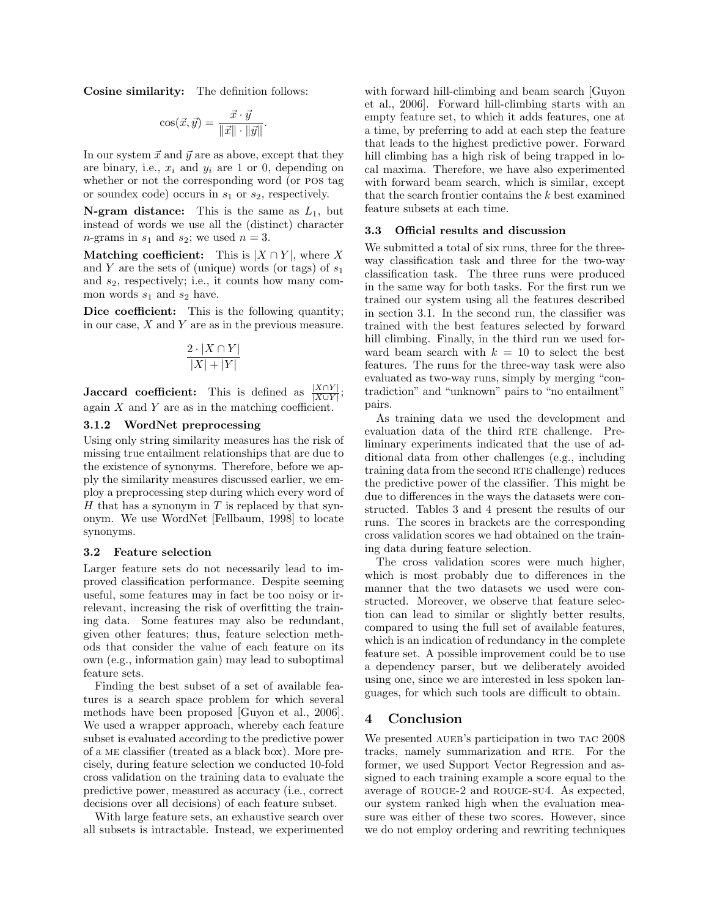Cosine similarity: The definition follows:

$$
\cos(\vec{x}, \vec{y}) = \frac{\vec{x} \cdot \vec{y}}{\|\vec{x}\| \cdot \|\vec{y}\|}.
$$

In our system  $\vec{x}$  and  $\vec{y}$  are as above, except that they are binary, i.e.,  $x_i$  and  $y_i$  are 1 or 0, depending on whether or not the corresponding word (or pos tag or soundex code) occurs in  $s_1$  or  $s_2$ , respectively.

**N-gram distance:** This is the same as  $L_1$ , but instead of words we use all the (distinct) character *n*-grams in  $s_1$  and  $s_2$ ; we used  $n = 3$ .

Matching coefficient: This is  $|X \cap Y|$ , where X and Y are the sets of (unique) words (or tags) of  $s_1$ and  $s_2$ , respectively; i.e., it counts how many common words  $s_1$  and  $s_2$  have.

Dice coefficient: This is the following quantity; in our case,  $X$  and  $Y$  are as in the previous measure.

$$
\frac{2 \cdot |X \cap Y|}{|X| + |Y|}
$$

**Jaccard coefficient:** This is defined as  $\frac{|X \cap Y|}{|X \cup Y|}$ ; again  $X$  and  $Y$  are as in the matching coefficient.

### 3.1.2 WordNet preprocessing

Using only string similarity measures has the risk of missing true entailment relationships that are due to the existence of synonyms. Therefore, before we apply the similarity measures discussed earlier, we employ a preprocessing step during which every word of H that has a synonym in T is replaced by that synonym. We use WordNet [Fellbaum, 1998] to locate synonyms.

#### 3.2 Feature selection

Larger feature sets do not necessarily lead to improved classification performance. Despite seeming useful, some features may in fact be too noisy or irrelevant, increasing the risk of overfitting the training data. Some features may also be redundant, given other features; thus, feature selection methods that consider the value of each feature on its own (e.g., information gain) may lead to suboptimal feature sets.

Finding the best subset of a set of available features is a search space problem for which several methods have been proposed [Guyon et al., 2006]. We used a wrapper approach, whereby each feature subset is evaluated according to the predictive power of a me classifier (treated as a black box). More precisely, during feature selection we conducted 10-fold cross validation on the training data to evaluate the predictive power, measured as accuracy (i.e., correct decisions over all decisions) of each feature subset.

With large feature sets, an exhaustive search over all subsets is intractable. Instead, we experimented

with forward hill-climbing and beam search [Guyon et al., 2006]. Forward hill-climbing starts with an empty feature set, to which it adds features, one at a time, by preferring to add at each step the feature that leads to the highest predictive power. Forward hill climbing has a high risk of being trapped in local maxima. Therefore, we have also experimented with forward beam search, which is similar, except that the search frontier contains the k best examined feature subsets at each time.

#### 3.3 Official results and discussion

We submitted a total of six runs, three for the threeway classification task and three for the two-way classification task. The three runs were produced in the same way for both tasks. For the first run we trained our system using all the features described in section 3.1. In the second run, the classifier was trained with the best features selected by forward hill climbing. Finally, in the third run we used forward beam search with  $k = 10$  to select the best features. The runs for the three-way task were also evaluated as two-way runs, simply by merging "contradiction" and "unknown" pairs to "no entailment" pairs.

As training data we used the development and evaluation data of the third RTE challenge. Preliminary experiments indicated that the use of additional data from other challenges (e.g., including training data from the second RTE challenge) reduces the predictive power of the classifier. This might be due to differences in the ways the datasets were constructed. Tables 3 and 4 present the results of our runs. The scores in brackets are the corresponding cross validation scores we had obtained on the training data during feature selection.

The cross validation scores were much higher, which is most probably due to differences in the manner that the two datasets we used were constructed. Moreover, we observe that feature selection can lead to similar or slightly better results, compared to using the full set of available features, which is an indication of redundancy in the complete feature set. A possible improvement could be to use a dependency parser, but we deliberately avoided using one, since we are interested in less spoken languages, for which such tools are difficult to obtain.

# 4 Conclusion

We presented AUEB's participation in two TAC 2008 tracks, namely summarization and RTE. For the former, we used Support Vector Regression and assigned to each training example a score equal to the average of rouge-2 and rouge-su4. As expected, our system ranked high when the evaluation measure was either of these two scores. However, since we do not employ ordering and rewriting techniques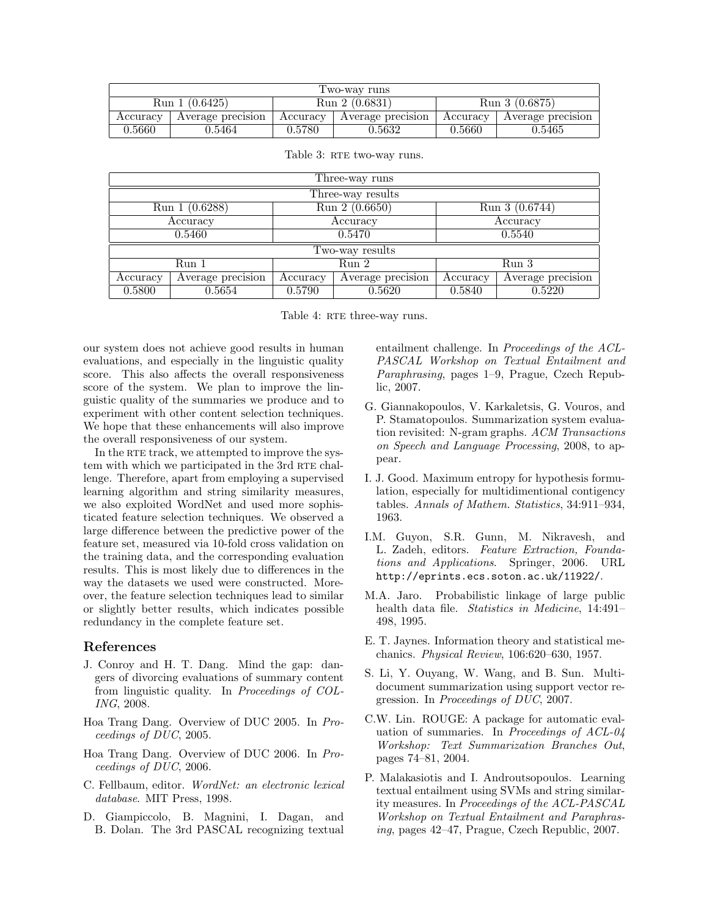| I wo-way runs  |                   |                |                   |                |                   |  |
|----------------|-------------------|----------------|-------------------|----------------|-------------------|--|
| Run 1 (0.6425) |                   | Run 2 (0.6831) |                   | Run 3 (0.6875) |                   |  |
| Accuracy       | Average precision | Accuracy       | Average precision | Accuracy       | Average precision |  |
| 0.5660         | 0.5464            | 0.5780         | 0.5632            | 0.5660         | $\;\:0.5465$      |  |

| Three-way runs    |                   |          |                   |                  |                   |  |
|-------------------|-------------------|----------|-------------------|------------------|-------------------|--|
| Three-way results |                   |          |                   |                  |                   |  |
|                   | Run $1(0.6288)$   |          | Run 2 (0.6650)    | Run 3 (0.6744)   |                   |  |
|                   | Accuracy          | Accuracy |                   | Accuracy         |                   |  |
|                   | 0.5460            | 0.5470   |                   | 0.5540           |                   |  |
| Two-way results   |                   |          |                   |                  |                   |  |
| Run <sub>1</sub>  |                   | Run 2    |                   | Run <sub>3</sub> |                   |  |
| Accuracy          | Average precision | Accuracy | Average precision | Accuracy         | Average precision |  |
| 0.5800            | 0.5654            | 0.5790   | 0.5620            | 0.5840           | 0.5220            |  |

| Table 3: RTE two-way runs. |  |  |  |  |  |
|----------------------------|--|--|--|--|--|
|----------------------------|--|--|--|--|--|

Table 4: RTE three-way runs.

our system does not achieve good results in human evaluations, and especially in the linguistic quality score. This also affects the overall responsiveness score of the system. We plan to improve the linguistic quality of the summaries we produce and to experiment with other content selection techniques. We hope that these enhancements will also improve the overall responsiveness of our system.

In the RTE track, we attempted to improve the system with which we participated in the 3rd RTE challenge. Therefore, apart from employing a supervised learning algorithm and string similarity measures, we also exploited WordNet and used more sophisticated feature selection techniques. We observed a large difference between the predictive power of the feature set, measured via 10-fold cross validation on the training data, and the corresponding evaluation results. This is most likely due to differences in the way the datasets we used were constructed. Moreover, the feature selection techniques lead to similar or slightly better results, which indicates possible redundancy in the complete feature set.

#### References

- J. Conroy and H. T. Dang. Mind the gap: dangers of divorcing evaluations of summary content from linguistic quality. In Proceedings of COL-ING, 2008.
- Hoa Trang Dang. Overview of DUC 2005. In Proceedings of DUC, 2005.
- Hoa Trang Dang. Overview of DUC 2006. In Proceedings of DUC, 2006.
- C. Fellbaum, editor. WordNet: an electronic lexical database. MIT Press, 1998.
- D. Giampiccolo, B. Magnini, I. Dagan, and B. Dolan. The 3rd PASCAL recognizing textual

entailment challenge. In Proceedings of the ACL-PASCAL Workshop on Textual Entailment and Paraphrasing, pages 1–9, Prague, Czech Republic, 2007.

- G. Giannakopoulos, V. Karkaletsis, G. Vouros, and P. Stamatopoulos. Summarization system evaluation revisited: N-gram graphs. ACM Transactions on Speech and Language Processing, 2008, to appear.
- I. J. Good. Maximum entropy for hypothesis formulation, especially for multidimentional contigency tables. Annals of Mathem. Statistics, 34:911–934, 1963.
- I.M. Guyon, S.R. Gunn, M. Nikravesh, and L. Zadeh, editors. Feature Extraction, Foundations and Applications. Springer, 2006. URL http://eprints.ecs.soton.ac.uk/11922/.
- M.A. Jaro. Probabilistic linkage of large public health data file. Statistics in Medicine, 14:491– 498, 1995.
- E. T. Jaynes. Information theory and statistical mechanics. Physical Review, 106:620–630, 1957.
- S. Li, Y. Ouyang, W. Wang, and B. Sun. Multidocument summarization using support vector regression. In Proceedings of DUC, 2007.
- C.W. Lin. ROUGE: A package for automatic evaluation of summaries. In Proceedings of ACL-04 Workshop: Text Summarization Branches Out, pages 74–81, 2004.
- P. Malakasiotis and I. Androutsopoulos. Learning textual entailment using SVMs and string similarity measures. In Proceedings of the ACL-PASCAL Workshop on Textual Entailment and Paraphrasing, pages 42–47, Prague, Czech Republic, 2007.